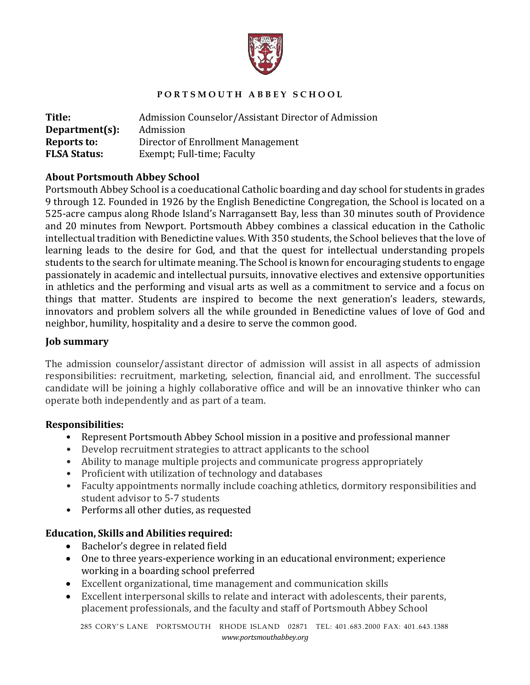

## **P O R T S M O U T H A B B E Y S C H O O L**

| Title:              | Admission Counselor/Assistant Director of Admission |
|---------------------|-----------------------------------------------------|
| Department(s):      | Admission                                           |
| Reports to:         | Director of Enrollment Management                   |
| <b>FLSA Status:</b> | Exempt; Full-time; Faculty                          |

## **About Portsmouth Abbey School**

Portsmouth Abbey School is a coeducational Catholic boarding and day school for students in grades 9 through 12. Founded in 1926 by the English Benedictine Congregation, the School is located on a 525-acre campus along Rhode Island's Narragansett Bay, less than 30 minutes south of Providence and 20 minutes from Newport. Portsmouth Abbey combines a classical education in the Catholic intellectual tradition with Benedictine values. With 350 students, the School believes that the love of learning leads to the desire for God, and that the quest for intellectual understanding propels students to the search for ultimate meaning. The School is known for encouraging students to engage passionately in academic and intellectual pursuits, innovative electives and extensive opportunities in athletics and the performing and visual arts as well as a commitment to service and a focus on things that matter. Students are inspired to become the next generation's leaders, stewards, innovators and problem solvers all the while grounded in Benedictine values of love of God and neighbor, humility, hospitality and a desire to serve the common good.

#### **Job summary**

The admission counselor/assistant director of admission will assist in all aspects of admission responsibilities: recruitment, marketing, selection, financial aid, and enrollment. The successful candidate will be joining a highly collaborative office and will be an innovative thinker who can operate both independently and as part of a team.

#### **Responsibilities:**

- Represent Portsmouth Abbey School mission in a positive and professional manner
- Develop recruitment strategies to attract applicants to the school
- Ability to manage multiple projects and communicate progress appropriately
- Proficient with utilization of technology and databases
- Faculty appointments normally include coaching athletics, dormitory responsibilities and student advisor to 5-7 students
- Performs all other duties, as requested

# **Education, Skills and Abilities required:**

- $\bullet$  Bachelor's degree in related field
- One to three years-experience working in an educational environment; experience working in a boarding school preferred
- Excellent organizational, time management and communication skills
- Excellent interpersonal skills to relate and interact with adolescents, their parents, placement professionals, and the faculty and staff of Portsmouth Abbey School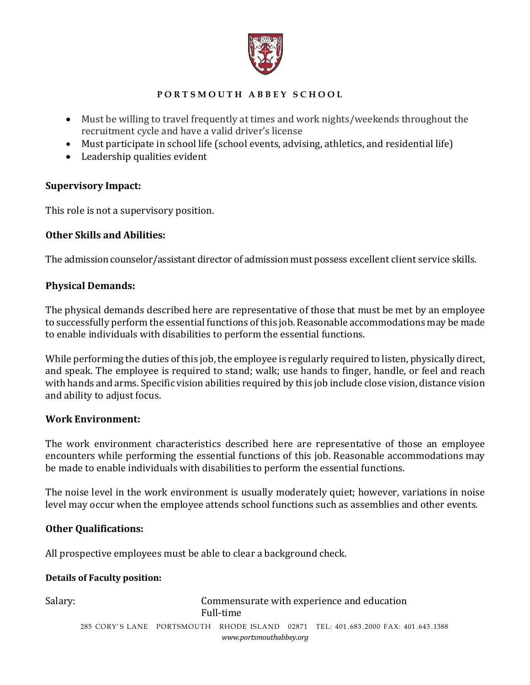

## **P O R T S M O U T H A B B E Y S C H O O L**

- Must be willing to travel frequently at times and work nights/weekends throughout the recruitment cycle and have a valid driver's license
- Must participate in school life (school events, advising, athletics, and residential life)
- $\bullet$  Leadership qualities evident

## **Supervisory Impact:**

This role is not a supervisory position.

## **Other Skills and Abilities:**

The admission counselor/assistant director of admission must possess excellent client service skills.

## **Physical Demands:**

The physical demands described here are representative of those that must be met by an employee to successfully perform the essential functions of this job. Reasonable accommodations may be made to enable individuals with disabilities to perform the essential functions.

While performing the duties of this job, the employee is regularly required to listen, physically direct, and speak. The employee is required to stand; walk; use hands to finger, handle, or feel and reach with hands and arms. Specific vision abilities required by this job include close vision, distance vision and ability to adjust focus.

#### **Work Environment:**

The work environment characteristics described here are representative of those an employee encounters while performing the essential functions of this job. Reasonable accommodations may be made to enable individuals with disabilities to perform the essential functions.

The noise level in the work environment is usually moderately quiet; however, variations in noise level may occur when the employee attends school functions such as assemblies and other events.

# **Other Qualifications:**

All prospective employees must be able to clear a background check.

#### **Details of Faculty position:**

285 CORY' S LANE PORTSMOUTH RHODE ISLAND 02871 TEL: 401 .683 .2000 FAX: 401 .643 .1388 *www.portsmouthabbey.org* Salary: Salary: Commensurate with experience and education Full-time